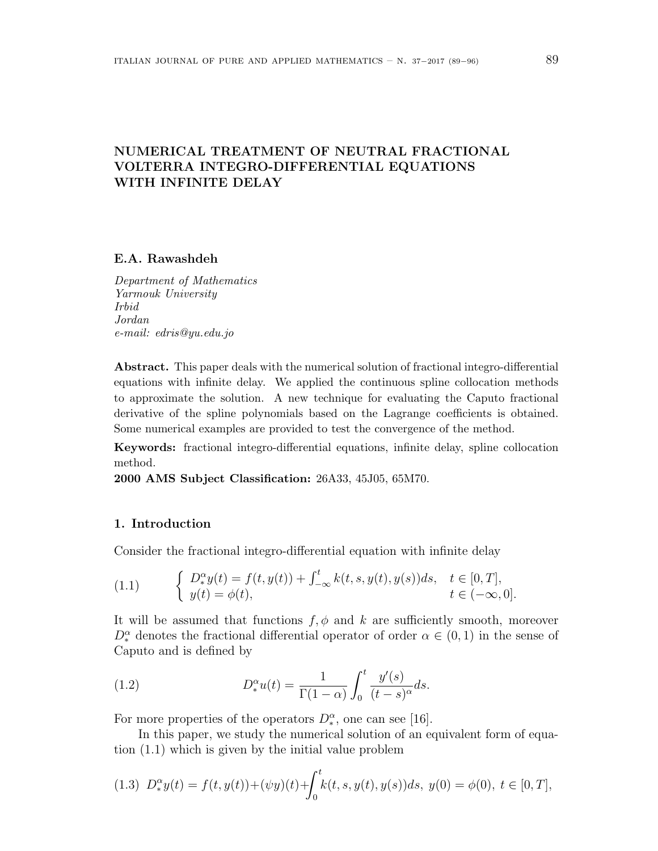# **NUMERICAL TREATMENT OF NEUTRAL FRACTIONAL VOLTERRA INTEGRO-DIFFERENTIAL EQUATIONS WITH INFINITE DELAY**

## **E.A. Rawashdeh**

*Department of Mathematics Yarmouk University Irbid Jordan e-mail: edris@yu.edu.jo*

**Abstract.** This paper deals with the numerical solution of fractional integro-differential equations with infinite delay. We applied the continuous spline collocation methods to approximate the solution. A new technique for evaluating the Caputo fractional derivative of the spline polynomials based on the Lagrange coefficients is obtained. Some numerical examples are provided to test the convergence of the method.

**Keywords:** fractional integro-differential equations, infinite delay, spline collocation method.

**2000 AMS Subject Classification:** 26A33, 45J05, 65M70.

### **1. Introduction**

Consider the fractional integro-differential equation with infinite delay

(1.1) 
$$
\begin{cases} D_{*}^{\alpha}y(t) = f(t, y(t)) + \int_{-\infty}^{t} k(t, s, y(t), y(s))ds, & t \in [0, T], \\ y(t) = \phi(t), & t \in (-\infty, 0]. \end{cases}
$$

It will be assumed that functions  $f, \phi$  and  $k$  are sufficiently smooth, moreover  $D^{\alpha}_{*}$  denotes the fractional differential operator of order  $\alpha \in (0,1)$  in the sense of Caputo and is defined by

(1.2) 
$$
D_*^{\alpha}u(t) = \frac{1}{\Gamma(1-\alpha)} \int_0^t \frac{y'(s)}{(t-s)^{\alpha}} ds.
$$

For more properties of the operators  $D_{*}^{\alpha}$ , one can see [16].

In this paper, we study the numerical solution of an equivalent form of equation (1.1) which is given by the initial value problem

$$
(1.3) \ D_{*}^{\alpha}y(t) = f(t, y(t)) + (\psi y)(t) + \int_{0}^{t} k(t, s, y(t), y(s))ds, \ y(0) = \phi(0), \ t \in [0, T],
$$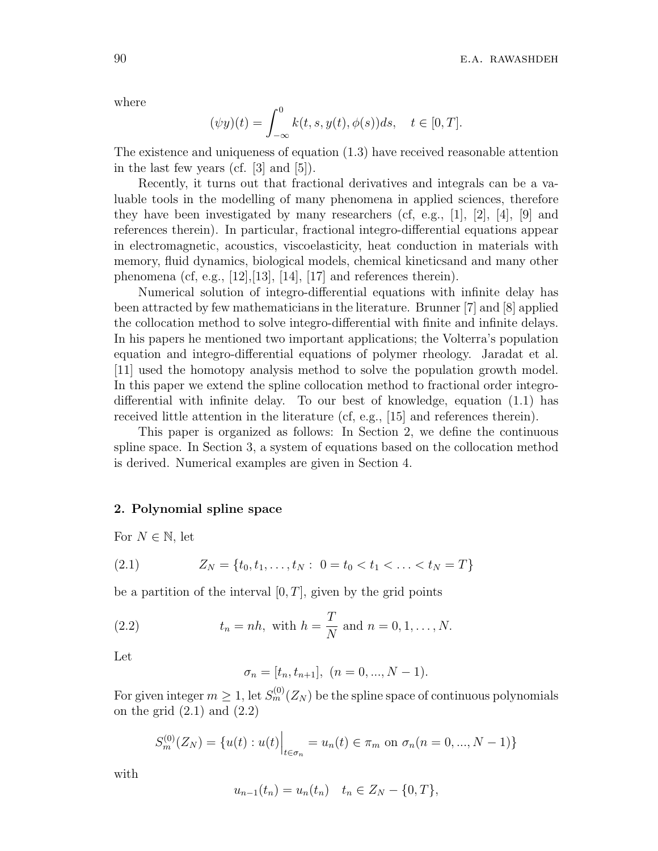where

$$
(\psi y)(t) = \int_{-\infty}^{0} k(t, s, y(t), \phi(s))ds, \quad t \in [0, T].
$$

The existence and uniqueness of equation (1.3) have received reasonable attention in the last few years (cf. [3] and [5]).

Recently, it turns out that fractional derivatives and integrals can be a valuable tools in the modelling of many phenomena in applied sciences, therefore they have been investigated by many researchers (cf, e.g., [1], [2], [4], [9] and references therein). In particular, fractional integro-differential equations appear in electromagnetic, acoustics, viscoelasticity, heat conduction in materials with memory, fluid dynamics, biological models, chemical kineticsand and many other phenomena (cf, e.g., [12], [13], [14], [17] and references therein).

Numerical solution of integro-differential equations with infinite delay has been attracted by few mathematicians in the literature. Brunner [7] and [8] applied the collocation method to solve integro-differential with finite and infinite delays. In his papers he mentioned two important applications; the Volterra's population equation and integro-differential equations of polymer rheology. Jaradat et al. [11] used the homotopy analysis method to solve the population growth model. In this paper we extend the spline collocation method to fractional order integrodifferential with infinite delay. To our best of knowledge, equation (1.1) has received little attention in the literature (cf, e.g., [15] and references therein).

This paper is organized as follows: In Section 2, we define the continuous spline space. In Section 3, a system of equations based on the collocation method is derived. Numerical examples are given in Section 4.

### **2. Polynomial spline space**

For  $N \in \mathbb{N}$ , let

(2.1) 
$$
Z_N = \{t_0, t_1, \ldots, t_N : 0 = t_0 < t_1 < \ldots < t_N = T\}
$$

be a partition of the interval  $[0, T]$ , given by the grid points

(2.2) 
$$
t_n = nh
$$
, with  $h = \frac{T}{N}$  and  $n = 0, 1, ..., N$ .

Let

$$
\sigma_n = [t_n, t_{n+1}], \ (n = 0, ..., N - 1).
$$

For given integer  $m \geq 1$ , let  $S_m^{(0)}(Z_N)$  be the spline space of continuous polynomials on the grid  $(2.1)$  and  $(2.2)$ 

$$
S_m^{(0)}(Z_N) = \{u(t) : u(t)\Big|_{t \in \sigma_n} = u_n(t) \in \pi_m \text{ on } \sigma_n(n = 0, ..., N - 1)\}
$$

with

$$
u_{n-1}(t_n) = u_n(t_n) \quad t_n \in Z_N - \{0, T\},\
$$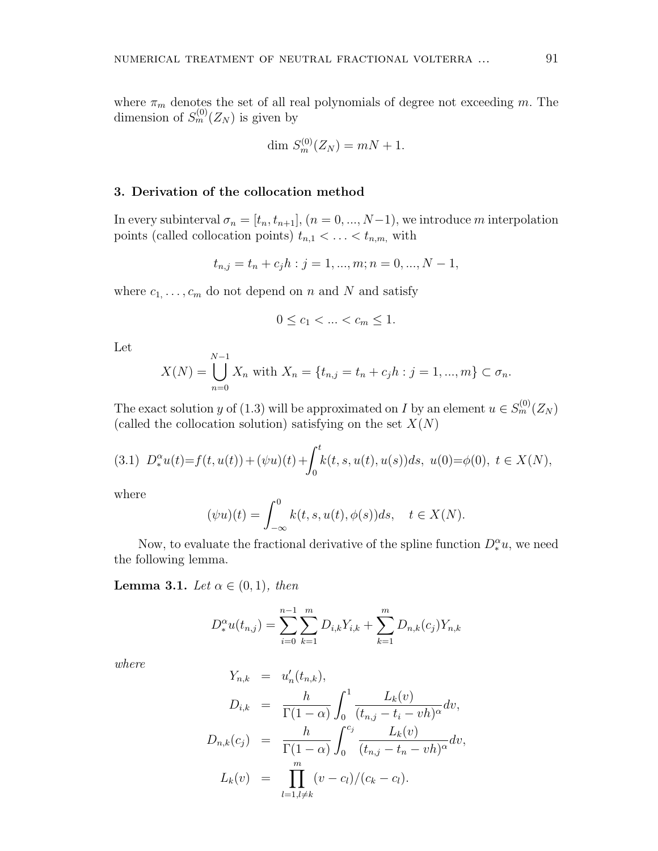where  $\pi_m$  denotes the set of all real polynomials of degree not exceeding *m*. The dimension of  $S_m^{(0)}(Z_N)$  is given by

$$
\dim \, S_m^{(0)}(Z_N) = mN + 1.
$$

## **3. Derivation of the collocation method**

In every subinterval  $\sigma_n = [t_n, t_{n+1}]$ ,  $(n = 0, ..., N-1)$ , we introduce *m* interpolation points (called collocation points)  $t_{n,1} < \ldots < t_{n,m}$ , with

$$
t_{n,j} = t_n + c_j h : j = 1, ..., m; n = 0, ..., N - 1,
$$

where  $c_1, \ldots, c_m$  do not depend on *n* and *N* and satisfy

$$
0 \leq c_1 < \ldots < c_m \leq 1.
$$

Let

$$
X(N) = \bigcup_{n=0}^{N-1} X_n \text{ with } X_n = \{t_{n,j} = t_n + c_j h : j = 1, ..., m\} \subset \sigma_n.
$$

The exact solution *y* of (1.3) will be approximated on *I* by an element  $u \in S_m^{(0)}(Z_N)$ (called the collocation solution) satisfying on the set *X*(*N*)

$$
(3.1) \ D_{*}^{\alpha}u(t) = f(t, u(t)) + (\psi u)(t) + \int_{0}^{t} k(t, s, u(t), u(s))ds, \ u(0) = \phi(0), \ t \in X(N),
$$

where

$$
(\psi u)(t) = \int_{-\infty}^{0} k(t, s, u(t), \phi(s))ds, \quad t \in X(N).
$$

Now, to evaluate the fractional derivative of the spline function  $D_*^{\alpha} u$ , we need the following lemma.

**Lemma 3.1.** *Let*  $\alpha \in (0,1)$ *, then* 

$$
D_*^{\alpha}u(t_{n,j}) = \sum_{i=0}^{n-1} \sum_{k=1}^m D_{i,k}Y_{i,k} + \sum_{k=1}^m D_{n,k}(c_j)Y_{n,k}
$$

*where*

$$
Y_{n,k} = u'_{n}(t_{n,k}),
$$
  
\n
$$
D_{i,k} = \frac{h}{\Gamma(1-\alpha)} \int_{0}^{1} \frac{L_{k}(v)}{(t_{n,j} - t_{i} - v_{n})^{\alpha}} dv,
$$
  
\n
$$
D_{n,k}(c_{j}) = \frac{h}{\Gamma(1-\alpha)} \int_{0}^{c_{j}} \frac{L_{k}(v)}{(t_{n,j} - t_{n} - v_{n})^{\alpha}} dv,
$$
  
\n
$$
L_{k}(v) = \prod_{l=1, l \neq k}^{m} (v - c_{l})/(c_{k} - c_{l}).
$$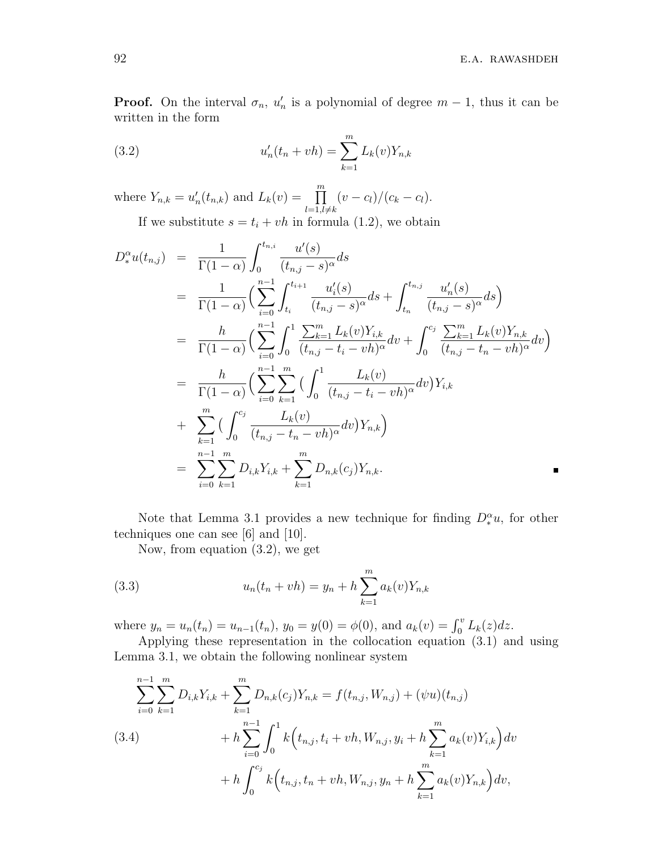**Proof.** On the interval  $\sigma_n$ ,  $u'_n$  is a polynomial of degree  $m-1$ , thus it can be written in the form

(3.2) 
$$
u'_n(t_n + vh) = \sum_{k=1}^m L_k(v)Y_{n,k}
$$

where  $Y_{n,k} = u'_n(t_{n,k})$  and  $L_k(v) = \prod^m$  $l=1, l \neq k$  $(v - c_l)/(c_k - c_l).$ 

If we substitute  $s = t_i + vh$  in formula (1.2), we obtain

$$
D_{*}^{\alpha}u(t_{n,j}) = \frac{1}{\Gamma(1-\alpha)} \int_{0}^{t_{n,i}} \frac{u'(s)}{(t_{n,j}-s)^{\alpha}} ds
$$
  
\n
$$
= \frac{1}{\Gamma(1-\alpha)} \Big(\sum_{i=0}^{n-1} \int_{t_{i}}^{t_{i+1}} \frac{u'_{i}(s)}{(t_{n,j}-s)^{\alpha}} ds + \int_{t_{n}}^{t_{n,j}} \frac{u'_{n}(s)}{(t_{n,j}-s)^{\alpha}} ds \Big)
$$
  
\n
$$
= \frac{h}{\Gamma(1-\alpha)} \Big(\sum_{i=0}^{n-1} \int_{0}^{1} \frac{\sum_{k=1}^{m} L_{k}(v)Y_{i,k}}{(t_{n,j}-t_{i}-vh)^{\alpha}} dv + \int_{0}^{c_{j}} \frac{\sum_{k=1}^{m} L_{k}(v)Y_{n,k}}{(t_{n,j}-t_{n}-vh)^{\alpha}} dv \Big)
$$
  
\n
$$
= \frac{h}{\Gamma(1-\alpha)} \Big(\sum_{i=0}^{n-1} \sum_{k=1}^{m} \Big(\int_{0}^{1} \frac{L_{k}(v)}{(t_{n,j}-t_{i}-vh)^{\alpha}} dv\Big)Y_{i,k}
$$
  
\n
$$
+ \sum_{k=1}^{m} \Big(\int_{0}^{c_{j}} \frac{L_{k}(v)}{(t_{n,j}-t_{n}-vh)^{\alpha}} dv\Big)Y_{n,k}\Big)
$$
  
\n
$$
= \sum_{i=0}^{n-1} \sum_{k=1}^{m} D_{i,k}Y_{i,k} + \sum_{k=1}^{m} D_{n,k}(c_{j})Y_{n,k}.
$$

Note that Lemma 3.1 provides a new technique for finding  $D_*^{\alpha}u$ , for other techniques one can see [6] and [10].

Now, from equation (3.2), we get

(3.3) 
$$
u_n(t_n + vh) = y_n + h \sum_{k=1}^m a_k(v) Y_{n,k}
$$

where  $y_n = u_n(t_n) = u_{n-1}(t_n)$ ,  $y_0 = y(0) = \phi(0)$ , and  $a_k(v) = \int_0^v L_k(z) dz$ .

Applying these representation in the collocation equation (3.1) and using Lemma 3.1, we obtain the following nonlinear system

$$
\sum_{i=0}^{n-1} \sum_{k=1}^{m} D_{i,k} Y_{i,k} + \sum_{k=1}^{m} D_{n,k}(c_j) Y_{n,k} = f(t_{n,j}, W_{n,j}) + (\psi u)(t_{n,j})
$$
  
(3.4)
$$
+ h \sum_{i=0}^{n-1} \int_0^1 k(t_{n,j}, t_i + vh, W_{n,j}, y_i + h \sum_{k=1}^{m} a_k(v) Y_{i,k}) dv
$$

$$
+ h \int_0^{c_j} k(t_{n,j}, t_n + vh, W_{n,j}, y_n + h \sum_{k=1}^{m} a_k(v) Y_{n,k}) dv,
$$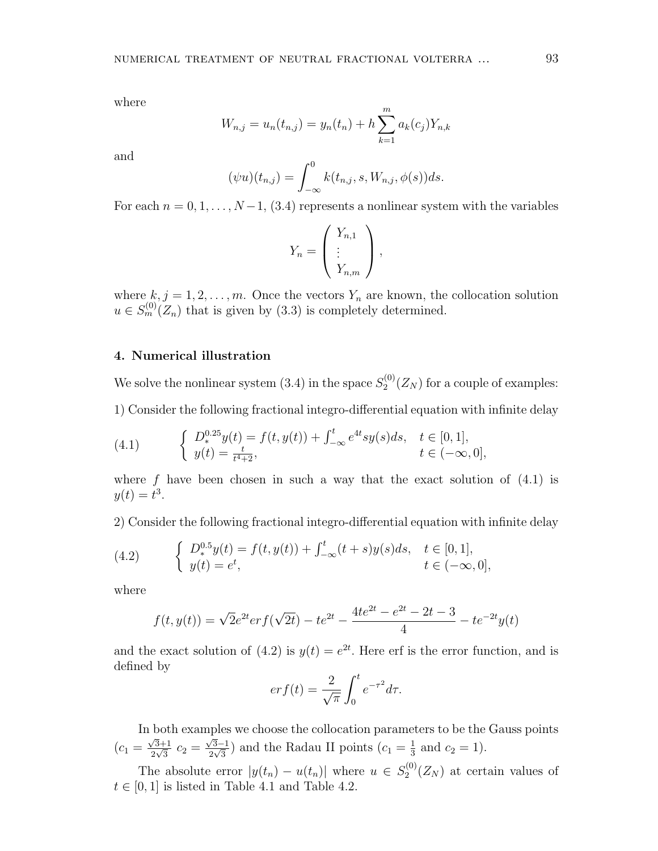where

$$
W_{n,j} = u_n(t_{n,j}) = y_n(t_n) + h \sum_{k=1}^{m} a_k(c_j) Y_{n,k}
$$

and

$$
(\psi u)(t_{n,j}) = \int_{-\infty}^{0} k(t_{n,j}, s, W_{n,j}, \phi(s)) ds.
$$

For each  $n = 0, 1, \ldots, N-1$ , (3.4) represents a nonlinear system with the variables

$$
Y_n = \left(\begin{array}{c} Y_{n,1} \\ \vdots \\ Y_{n,m} \end{array}\right),
$$

where  $k, j = 1, 2, \ldots, m$ . Once the vectors  $Y_n$  are known, the collocation solution  $u \in S_m^{(0)}(Z_n)$  that is given by (3.3) is completely determined.

## **4. Numerical illustration**

We solve the nonlinear system  $(3.4)$  in the space  $S_2^{(0)}$  $2^{(0)}(Z_N)$  for a couple of examples:

1) Consider the following fractional integro-differential equation with infinite delay

(4.1) 
$$
\begin{cases} D_*^{0.25}y(t) = f(t, y(t)) + \int_{-\infty}^t e^{4t}sy(s)ds, & t \in [0, 1],\\ y(t) = \frac{t}{t^4 + 2}, & t \in (-\infty, 0], \end{cases}
$$

where  $f$  have been chosen in such a way that the exact solution of  $(4.1)$  is  $y(t) = t^3$ .

2) Consider the following fractional integro-differential equation with infinite delay

(4.2) 
$$
\begin{cases} D_*^{0.5}y(t) = f(t, y(t)) + \int_{-\infty}^t (t+s)y(s)ds, & t \in [0,1],\\ y(t) = e^t, & t \in (-\infty,0], \end{cases}
$$

where

$$
f(t, y(t)) = \sqrt{2}e^{2t}er f(\sqrt{2t}) - te^{2t} - \frac{4te^{2t} - e^{2t} - 2t - 3}{4} - te^{-2t}y(t)
$$

and the exact solution of (4.2) is  $y(t) = e^{2t}$ . Here erf is the error function, and is defined by

$$
er f(t) = \frac{2}{\sqrt{\pi}} \int_0^t e^{-\tau^2} d\tau.
$$

In both examples we choose the collocation parameters to be the Gauss points  $(c_1 = \frac{\sqrt{3}+1}{2\sqrt{3}})$  $\frac{\sqrt{3}+1}{2\sqrt{3}}$  *c*<sub>2</sub> =  $\frac{\sqrt{3}-1}{2\sqrt{3}}$  and the Radau II points  $(c_1 = \frac{1}{3})$  $\frac{1}{3}$  and  $c_2 = 1$ ).

The absolute error  $|y(t_n) - u(t_n)|$  where  $u \in S_2^{(0)}$  $2^{(0)}(Z_N)$  at certain values of  $t \in [0, 1]$  is listed in Table 4.1 and Table 4.2.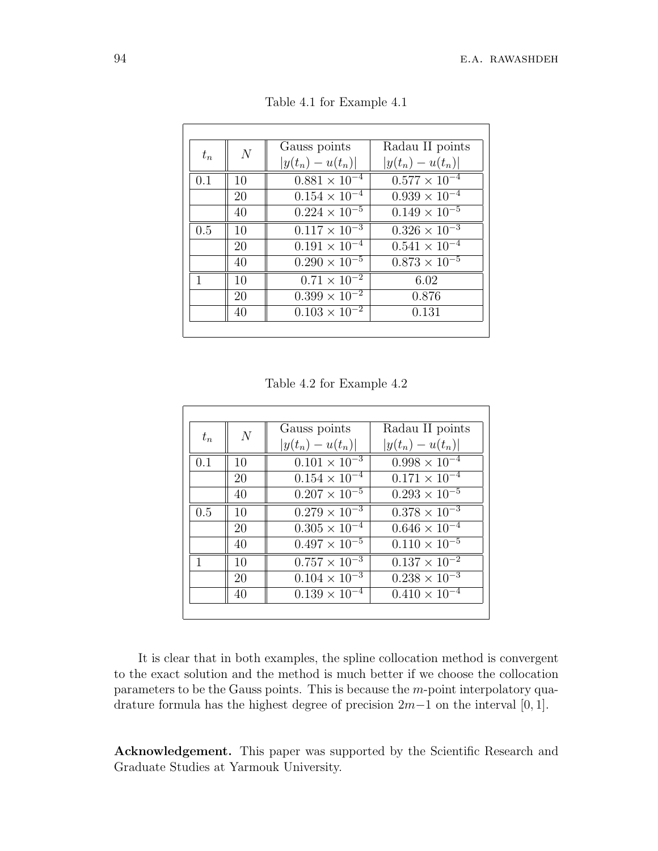| $t_n$ | N  | Gauss points                      | Radau II points                   |
|-------|----|-----------------------------------|-----------------------------------|
|       |    | $ y(t_n) - u(t_n) $               | $ y(t_n) - u(t_n) $               |
| 0.1   | 10 | $0.881 \times 10^{-4}$            | $0.577 \times 10^{-4}$            |
|       | 20 | $0.154 \times 10^{-4}$            | $0.939 \times 10^{-4}$            |
|       | 40 | $0.224 \times 10^{-5}$            | $0.149 \times \overline{10^{-5}}$ |
| 0.5   | 10 | $\overline{0.117 \times 10^{-3}}$ | $0.\overline{326 \times 10^{-3}}$ |
|       | 20 | $0.191 \times 10^{-4}$            | $0.541 \times 10^{-4}$            |
|       | 40 | $0.290 \times 10^{-5}$            | $0.873 \times 10^{-5}$            |
| 1     | 10 | $0.71 \times 10^{-2}$             | 6.02                              |
|       | 20 | $0.399 \times 10^{-2}$            | 0.876                             |
|       | 40 | $0.103 \times 10^{-2}$            | 0.131                             |
|       |    |                                   |                                   |

Table 4.1 for Example 4.1

Table 4.2 for Example 4.2

| $t_n$ |                | Gauss points           | Radau II points                   |
|-------|----------------|------------------------|-----------------------------------|
|       | $\overline{N}$ | $ y(t_n) - u(t_n) $    | $ y(t_n) - u(t_n) $               |
| 0.1   | 10             | $0.101 \times 10^{-3}$ | $\sqrt{0.998 \times 10^{-4}}$     |
|       | 20             | $0.154 \times 10^{-4}$ | $\overline{0.171 \times 10^{-4}}$ |
|       | 40             | $0.207 \times 10^{-5}$ | $0.293 \times 10^{-5}$            |
| 0.5   | 10             | $0.279 \times 10^{-3}$ | $0.378 \times 10^{-3}$            |
|       | 20             | $0.305 \times 10^{-4}$ | $0.646 \times 10^{-4}$            |
|       | 40             | $0.497 \times 10^{-5}$ | $0.110 \times 10^{-5}$            |
| 1     | 10             | $0.757 \times 10^{-3}$ | $0.137 \times 10^{-2}$            |
|       | 20             | $0.104 \times 10^{-3}$ | $0.238 \times 10^{-3}$            |
|       | 40             | $0.139 \times 10^{-4}$ | $0.410 \times 10^{-4}$            |

It is clear that in both examples, the spline collocation method is convergent to the exact solution and the method is much better if we choose the collocation parameters to be the Gauss points. This is because the *m*-point interpolatory quadrature formula has the highest degree of precision 2*m−*1 on the interval [0*,* 1].

**Acknowledgement.** This paper was supported by the Scientific Research and Graduate Studies at Yarmouk University.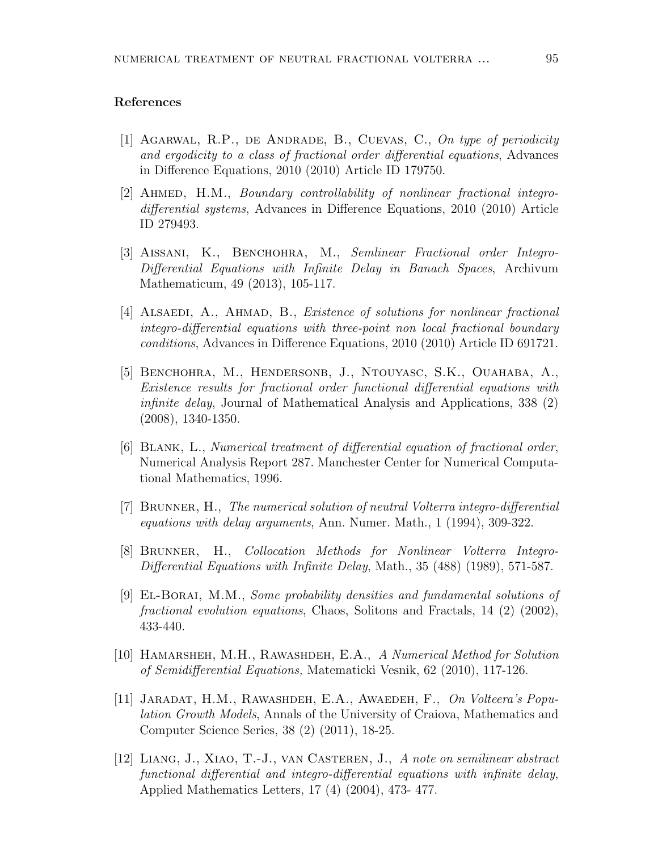#### **References**

- [1] Agarwal, R.P., de Andrade, B., Cuevas, C., *On type of periodicity and ergodicity to a class of fractional order differential equations*, Advances in Difference Equations, 2010 (2010) Article ID 179750.
- [2] Ahmed, H.M., *Boundary controllability of nonlinear fractional integrodifferential systems*, Advances in Difference Equations, 2010 (2010) Article ID 279493.
- [3] Aissani, K., Benchohra, M., *Semlinear Fractional order Integro-Differential Equations with Infinite Delay in Banach Spaces*, Archivum Mathematicum, 49 (2013), 105-117.
- [4] ALSAEDI, A., AHMAD, B., *Existence of solutions for nonlinear fractional integro-differential equations with three-point non local fractional boundary conditions*, Advances in Difference Equations, 2010 (2010) Article ID 691721.
- [5] BENCHOHRA, M., HENDERSONB, J., NTOUYASC, S.K., OUAHABA, A., *Existence results for fractional order functional differential equations with infinite delay*, Journal of Mathematical Analysis and Applications, 338 (2) (2008), 1340-1350.
- [6] Blank, L., *Numerical treatment of differential equation of fractional order*, Numerical Analysis Report 287. Manchester Center for Numerical Computational Mathematics, 1996.
- [7] Brunner, H., *The numerical solution of neutral Volterra integro-differential equations with delay arguments*, Ann. Numer. Math., 1 (1994), 309-322.
- [8] Brunner, H., *Collocation Methods for Nonlinear Volterra Integro-Differential Equations with Infinite Delay*, Math., 35 (488) (1989), 571-587.
- [9] El-Borai, M.M., *Some probability densities and fundamental solutions of fractional evolution equations*, Chaos, Solitons and Fractals, 14 (2) (2002), 433-440.
- [10] Hamarsheh, M.H., Rawashdeh, E.A., *A Numerical Method for Solution of Semidifferential Equations,* Matematicki Vesnik, 62 (2010), 117-126.
- [11] Jaradat, H.M., Rawashdeh, E.A., Awaedeh, F., *On Volteera's Population Growth Models*, Annals of the University of Craiova, Mathematics and Computer Science Series, 38 (2) (2011), 18-25.
- [12] Liang, J., Xiao, T.-J., van Casteren, J., *A note on semilinear abstract functional differential and integro-differential equations with infinite delay*, Applied Mathematics Letters, 17 (4) (2004), 473- 477.